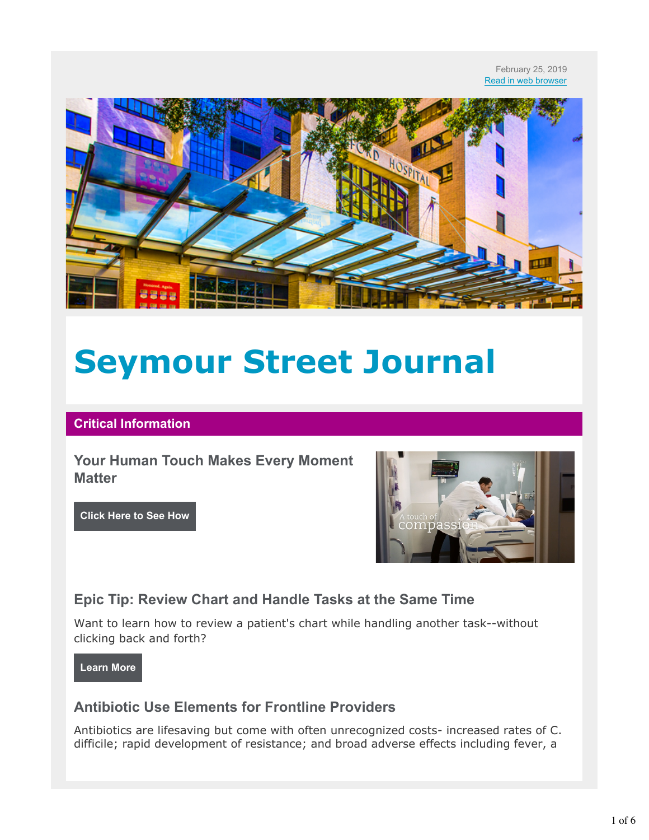#### February 25, 2019 Read in web browser



# **Seymour Street Journal**

#### **Critical Information**

**Your Human Touch Makes Every Moment Matter**

**Click Here to See How**



## **Epic Tip: Review Chart and Handle Tasks at the Same Time**

Want to learn how to review a patient's chart while handling another task--without clicking back and forth?

**Learn More**

## **Antibiotic Use Elements for Frontline Providers**

Antibiotics are lifesaving but come with often unrecognized costs- increased rates of C. difficile; rapid development of resistance; and broad adverse effects including fever, a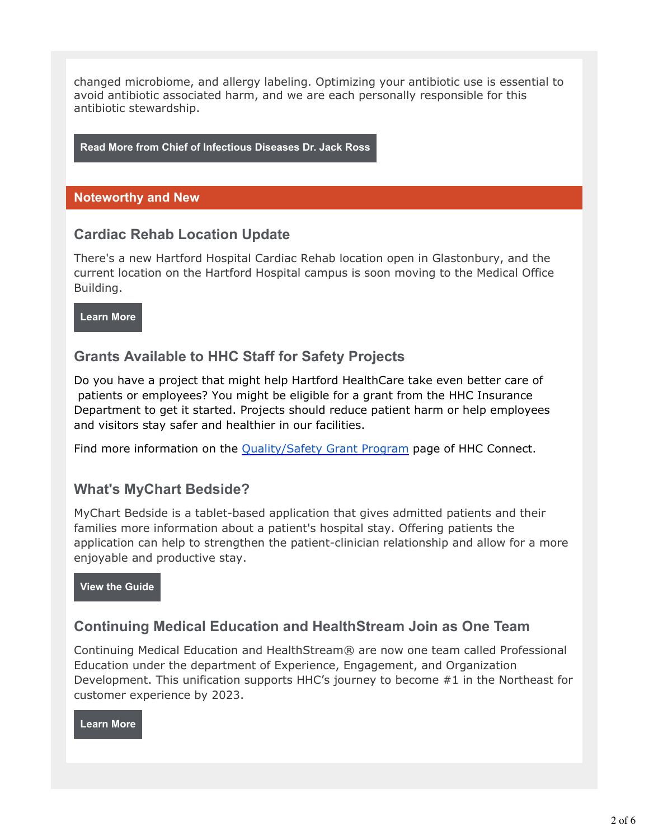changed microbiome, and allergy labeling. Optimizing your antibiotic use is essential to avoid antibiotic associated harm, and we are each personally responsible for this antibiotic stewardship.

**Read More from Chief of Infectious Diseases Dr. Jack Ross**

#### **Noteworthy and New**

## **Cardiac Rehab Location Update**

There's a new Hartford Hospital Cardiac Rehab location open in Glastonbury, and the current location on the Hartford Hospital campus is soon moving to the Medical Office Building.

**Learn More**

## **Grants Available to HHC Staff for Safety Projects**

Do you have a project that might help Hartford HealthCare take even better care of patients or employees? You might be eligible for a grant from the HHC Insurance Department to get it started. Projects should reduce patient harm or help employees and visitors stay safer and healthier in our facilities.

Find more information on the Quality/Safety Grant Program page of HHC Connect.

## **What's MyChart Bedside?**

MyChart Bedside is a tablet-based application that gives admitted patients and their families more information about a patient's hospital stay. Offering patients the application can help to strengthen the patient-clinician relationship and allow for a more enjoyable and productive stay.

**View the Guide**

## **Continuing Medical Education and HealthStream Join as One Team**

Continuing Medical Education and HealthStream® are now one team called Professional Education under the department of Experience, Engagement, and Organization Development. This unification supports HHC's journey to become #1 in the Northeast for customer experience by 2023.

**Learn More**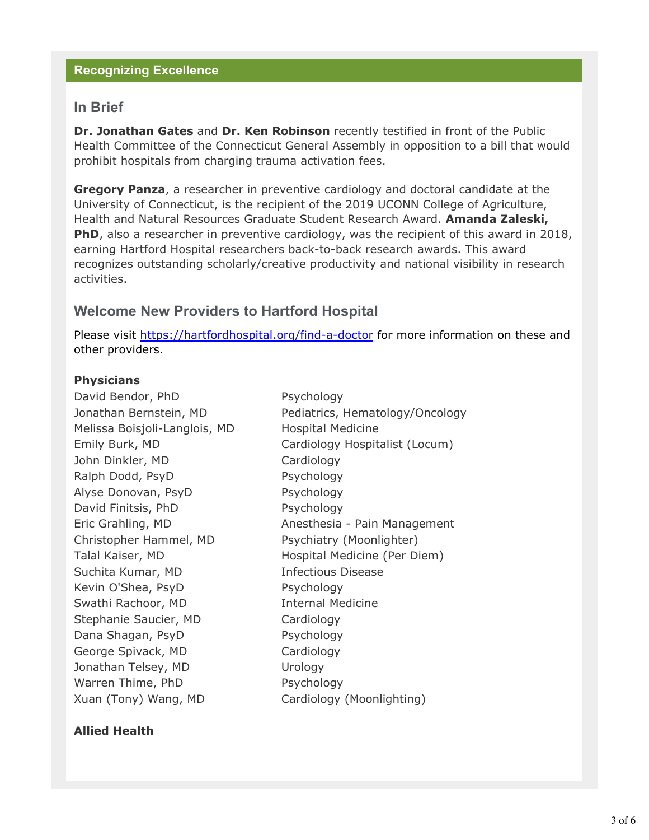#### **Recognizing Excellence**

### **In Brief**

**Dr. Jonathan Gates** and **Dr. Ken Robinson** recently testified in front of the Public Health Committee of the Connecticut General Assembly in opposition to a bill that would prohibit hospitals from charging trauma activation fees.

**Gregory Panza**, a researcher in preventive cardiology and doctoral candidate at the University of Connecticut, is the recipient of the 2019 UCONN College of Agriculture, Health and Natural Resources Graduate Student Research Award. **Amanda Zaleski, PhD**, also a researcher in preventive cardiology, was the recipient of this award in 2018, earning Hartford Hospital researchers back-to-back research awards. This award recognizes outstanding scholarly/creative productivity and national visibility in research activities.

## **Welcome New Providers to Hartford Hospital**

Please visit https://hartfordhospital.org/find-a-doctor for more information on these and other providers.

#### **Physicians**

David Bendor, PhD Psychology Melissa Boisjoli-Langlois, MD Hospital Medicine John Dinkler, MD Cardiology Ralph Dodd, PsyD Psychology Alyse Donovan, PsyD Psychology David Finitsis, PhD Psychology Christopher Hammel, MD Psychiatry (Moonlighter) Suchita Kumar, MD **Infectious Disease** Kevin O'Shea, PsyD Psychology Swathi Rachoor, MD **Internal Medicine** Stephanie Saucier, MD Cardiology Dana Shagan, PsyD Psychology George Spivack, MD Cardiology Jonathan Telsey, MD Urology Warren Thime, PhD Psychology Xuan (Tony) Wang, MD Cardiology (Moonlighting)

Jonathan Bernstein, MD Pediatrics, Hematology/Oncology Emily Burk, MD Cardiology Hospitalist (Locum) Eric Grahling, MD **Anesthesia - Pain Management** Talal Kaiser, MD Hospital Medicine (Per Diem)

#### **Allied Health**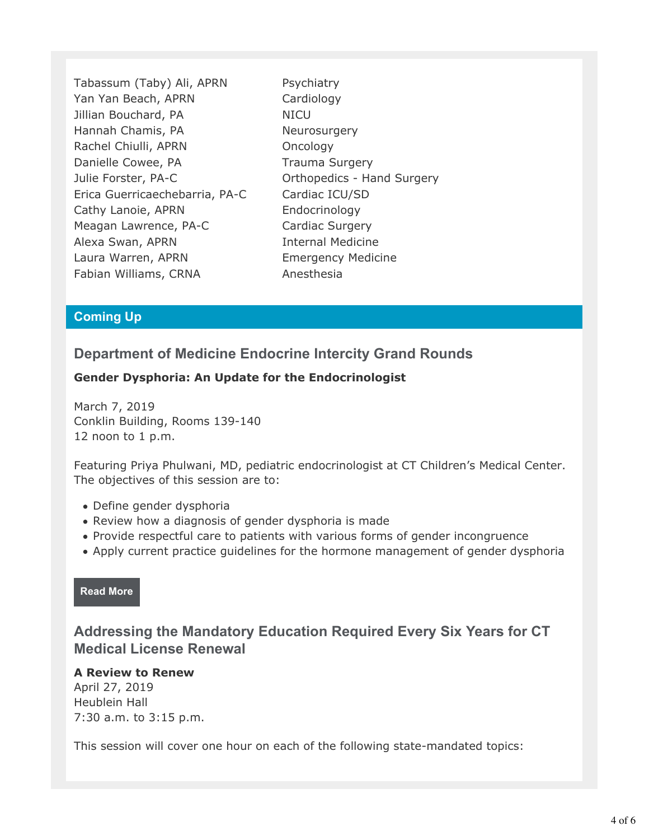Tabassum (Taby) Ali, APRN Psychiatry Yan Yan Beach, APRN Cardiology Jillian Bouchard, PA NICU Hannah Chamis, PA Neurosurgery Rachel Chiulli, APRN Oncology Danielle Cowee, PA Trauma Surgery Julie Forster, PA-C Orthopedics - Hand Surgery Erica Guerricaechebarria, PA-C Cardiac ICU/SD Cathy Lanoie, APRN Endocrinology Meagan Lawrence, PA-C Cardiac Surgery Alexa Swan, APRN Internal Medicine Laura Warren, APRN Emergency Medicine Fabian Williams, CRNA Anesthesia

#### **Coming Up**

## **Department of Medicine Endocrine Intercity Grand Rounds**

### **Gender Dysphoria: An Update for the Endocrinologist**

March 7, 2019 Conklin Building, Rooms 139-140 12 noon to 1 p.m.

Featuring Priya Phulwani, MD, pediatric endocrinologist at CT Children's Medical Center. The objectives of this session are to:

- Define gender dysphoria
- Review how a diagnosis of gender dysphoria is made
- Provide respectful care to patients with various forms of gender incongruence
- Apply current practice guidelines for the hormone management of gender dysphoria

#### **Read More**

## **Addressing the Mandatory Education Required Every Six Years for CT Medical License Renewal**

#### **A Review to Renew**

April 27, 2019 Heublein Hall 7:30 a.m. to 3:15 p.m.

This session will cover one hour on each of the following state-mandated topics: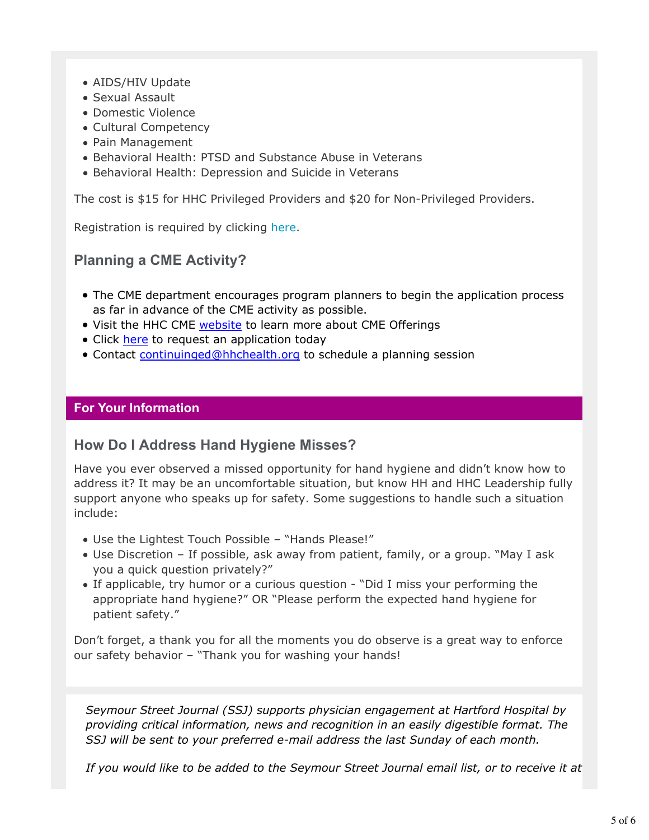- AIDS/HIV Update
- Sexual Assault
- Domestic Violence
- Cultural Competency
- Pain Management
- Behavioral Health: PTSD and Substance Abuse in Veterans
- Behavioral Health: Depression and Suicide in Veterans

The cost is \$15 for HHC Privileged Providers and \$20 for Non-Privileged Providers.

Registration is required by clicking here.

## **Planning a CME Activity?**

- The CME department encourages program planners to begin the application process as far in advance of the CME activity as possible.
- Visit the HHC CME website to learn more about CME Offerings
- Click here to request an application today
- Contact continuinged@hhchealth.org to schedule a planning session

#### **For Your Information**

## **How Do I Address Hand Hygiene Misses?**

Have you ever observed a missed opportunity for hand hygiene and didn't know how to address it? It may be an uncomfortable situation, but know HH and HHC Leadership fully support anyone who speaks up for safety. Some suggestions to handle such a situation include:

- Use the Lightest Touch Possible "Hands Please!"
- Use Discretion If possible, ask away from patient, family, or a group. "May I ask you a quick question privately?"
- If applicable, try humor or a curious question "Did I miss your performing the appropriate hand hygiene?" OR "Please perform the expected hand hygiene for patient safety."

Don't forget, a thank you for all the moments you do observe is a great way to enforce our safety behavior – "Thank you for washing your hands!

*Seymour Street Journal (SSJ) supports physician engagement at Hartford Hospital by providing critical information, news and recognition in an easily digestible format. The SSJ will be sent to your preferred e-mail address the last Sunday of each month.*

*If you would like to be added to the Seymour Street Journal email list, or to receive it at*